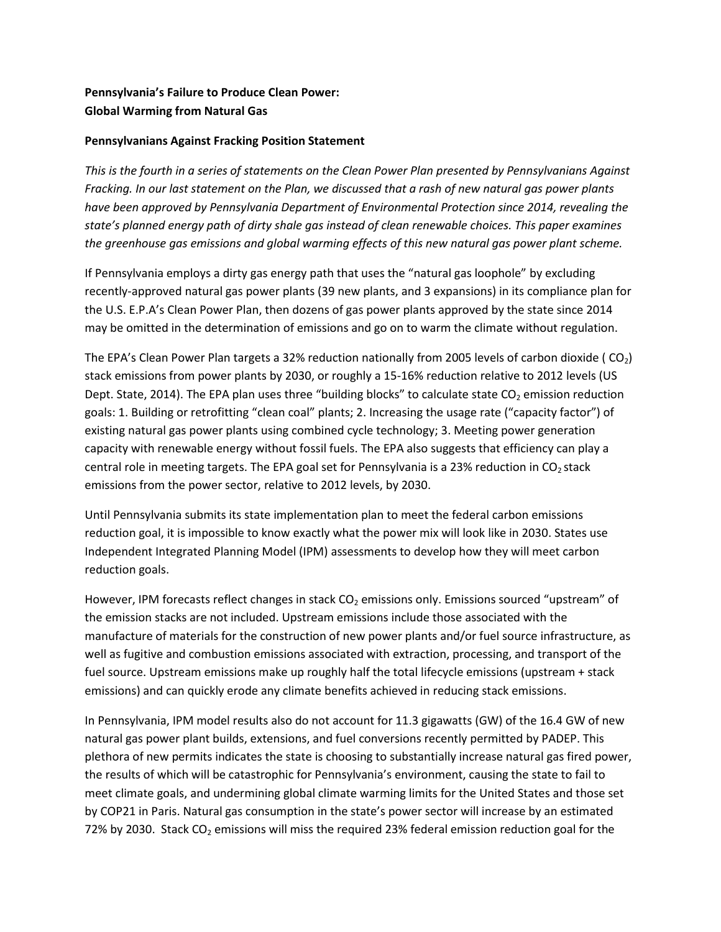## **Pennsylvania's Failure to Produce Clean Power: Global Warming from Natural Gas**

## **Pennsylvanians Against Fracking Position Statement**

*This is the fourth in a series of statements on the Clean Power Plan presented by Pennsylvanians Against Fracking. In our last statement on the Plan, we discussed that a rash of new natural gas power plants have been approved by Pennsylvania Department of Environmental Protection since 2014, revealing the state's planned energy path of dirty shale gas instead of clean renewable choices. This paper examines the greenhouse gas emissions and global warming effects of this new natural gas power plant scheme.*

If Pennsylvania employs a dirty gas energy path that uses the "natural gas loophole" by excluding recently-approved natural gas power plants (39 new plants, and 3 expansions) in its compliance plan for the U.S. E.P.A's Clean Power Plan, then dozens of gas power plants approved by the state since 2014 may be omitted in the determination of emissions and go on to warm the climate without regulation.

The EPA's Clean Power Plan targets a 32% reduction nationally from 2005 levels of carbon dioxide ( $CO<sub>2</sub>$ ) stack emissions from power plants by 2030, or roughly a 15-16% reduction relative to 2012 levels (US Dept. State, 2014). The EPA plan uses three "building blocks" to calculate state  $CO<sub>2</sub>$  emission reduction goals: 1. Building or retrofitting "clean coal" plants; 2. Increasing the usage rate ("capacity factor") of existing natural gas power plants using combined cycle technology; 3. Meeting power generation capacity with renewable energy without fossil fuels. The EPA also suggests that efficiency can play a central role in meeting targets. The EPA goal set for Pennsylvania is a 23% reduction in  $CO<sub>2</sub>$  stack emissions from the power sector, relative to 2012 levels, by 2030.

Until Pennsylvania submits its state implementation plan to meet the federal carbon emissions reduction goal, it is impossible to know exactly what the power mix will look like in 2030. States use Independent Integrated Planning Model (IPM) assessments to develop how they will meet carbon reduction goals.

However, IPM forecasts reflect changes in stack  $CO<sub>2</sub>$  emissions only. Emissions sourced "upstream" of the emission stacks are not included. Upstream emissions include those associated with the manufacture of materials for the construction of new power plants and/or fuel source infrastructure, as well as fugitive and combustion emissions associated with extraction, processing, and transport of the fuel source. Upstream emissions make up roughly half the total lifecycle emissions (upstream + stack emissions) and can quickly erode any climate benefits achieved in reducing stack emissions.

In Pennsylvania, IPM model results also do not account for 11.3 gigawatts (GW) of the 16.4 GW of new natural gas power plant builds, extensions, and fuel conversions recently permitted by PADEP. This plethora of new permits indicates the state is choosing to substantially increase natural gas fired power, the results of which will be catastrophic for Pennsylvania's environment, causing the state to fail to meet climate goals, and undermining global climate warming limits for the United States and those set by COP21 in Paris. Natural gas consumption in the state's power sector will increase by an estimated 72% by 2030. Stack  $CO<sub>2</sub>$  emissions will miss the required 23% federal emission reduction goal for the